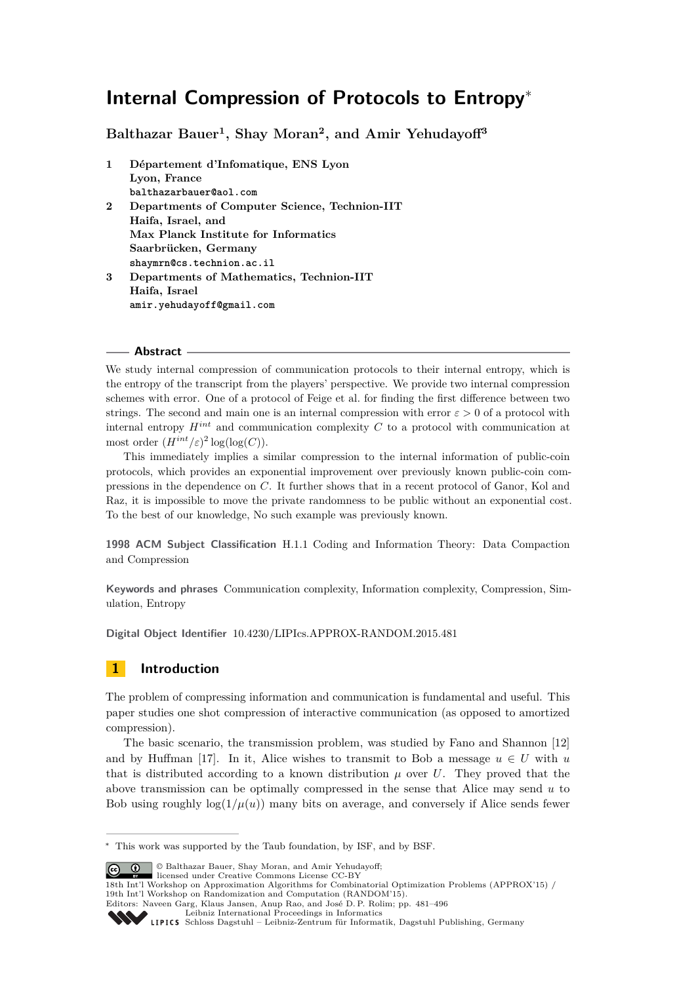**Balthazar Bauer<sup>1</sup> , Shay Moran<sup>2</sup> , and Amir Yehudayoff<sup>3</sup>**

**1 Département d'Infomatique, ENS Lyon Lyon, France balthazarbauer@aol.com 2 Departments of Computer Science, Technion-IIT Haifa, Israel, and Max Planck Institute for Informatics Saarbrücken, Germany shaymrn@cs.technion.ac.il 3 Departments of Mathematics, Technion-IIT Haifa, Israel amir.yehudayoff@gmail.com**

# **Abstract**

We study internal compression of communication protocols to their internal entropy, which is the entropy of the transcript from the players' perspective. We provide two internal compression schemes with error. One of a protocol of Feige et al. for finding the first difference between two strings. The second and main one is an internal compression with error  $\varepsilon > 0$  of a protocol with internal entropy *Hint* and communication complexity *C* to a protocol with communication at most order  $(H^{int}/\varepsilon)^2 \log(\log(C)).$ 

This immediately implies a similar compression to the internal information of public-coin protocols, which provides an exponential improvement over previously known public-coin compressions in the dependence on *C*. It further shows that in a recent protocol of Ganor, Kol and Raz, it is impossible to move the private randomness to be public without an exponential cost. To the best of our knowledge, No such example was previously known.

**1998 ACM Subject Classification** H.1.1 Coding and Information Theory: Data Compaction and Compression

**Keywords and phrases** Communication complexity, Information complexity, Compression, Simulation, Entropy

**Digital Object Identifier** [10.4230/LIPIcs.APPROX-RANDOM.2015.481](http://dx.doi.org/10.4230/LIPIcs.APPROX-RANDOM.2015.481)

# **1 Introduction**

The problem of compressing information and communication is fundamental and useful. This paper studies one shot compression of interactive communication (as opposed to amortized compression).

The basic scenario, the transmission problem, was studied by Fano and Shannon [\[12\]](#page-13-0) and by Huffman [\[17\]](#page-13-1). In it, Alice wishes to transmit to Bob a message  $u \in U$  with  $u$ that is distributed according to a known distribution  $\mu$  over  $U$ . They proved that the above transmission can be optimally compressed in the sense that Alice may send *u* to Bob using roughly  $\log(1/\mu(u))$  many bits on average, and conversely if Alice sends fewer

© Balthazar Bauer, Shay Moran, and Amir Yehudayoff; <u>ര്ര 0 </u>

licensed under Creative Commons License CC-BY

<sup>∗</sup> This work was supported by the Taub foundation, by ISF, and by BSF.

<sup>18</sup>th Int'l Workshop on Approximation Algorithms for Combinatorial Optimization Problems (APPROX'15) / 19th Int'l Workshop on Randomization and Computation (RANDOM'15).

Editors: Naveen Garg, Klaus Jansen, Anup Rao, and José D. P. Rolim; pp. 481[–496](#page-15-0)

[Leibniz International Proceedings in Informatics](http://www.dagstuhl.de/lipics/)

[Schloss Dagstuhl – Leibniz-Zentrum für Informatik, Dagstuhl Publishing, Germany](http://www.dagstuhl.de)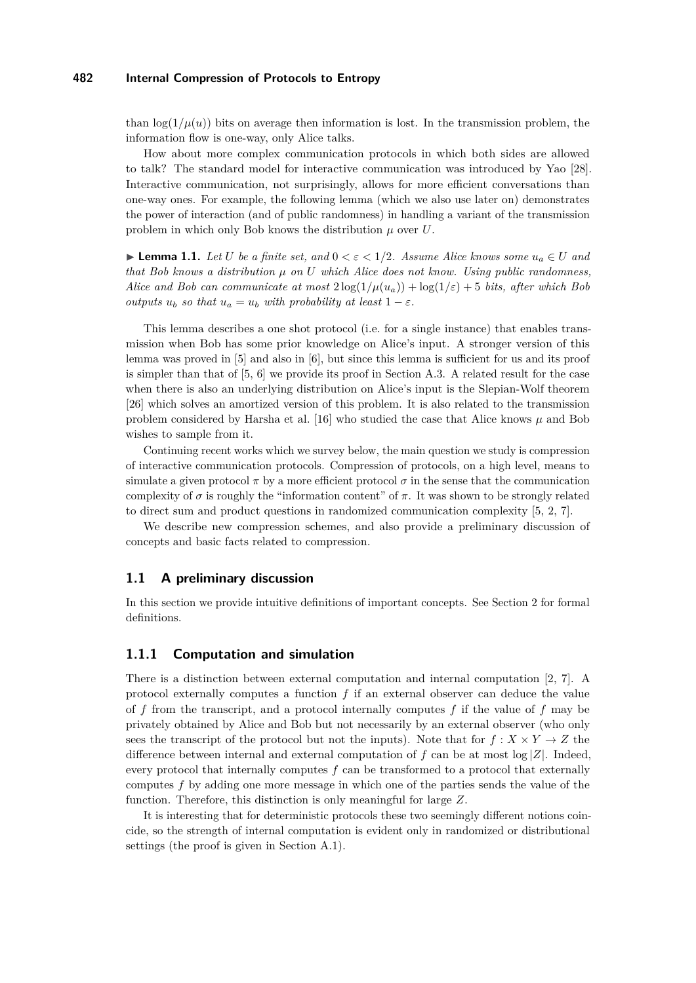than  $log(1/\mu(u))$  bits on average then information is lost. In the transmission problem, the information flow is one-way, only Alice talks.

How about more complex communication protocols in which both sides are allowed to talk? The standard model for interactive communication was introduced by Yao [\[28\]](#page-13-2). Interactive communication, not surprisingly, allows for more efficient conversations than one-way ones. For example, the following lemma (which we also use later on) demonstrates the power of interaction (and of public randomness) in handling a variant of the transmission problem in which only Bob knows the distribution *µ* over *U*.

<span id="page-1-0"></span>**► Lemma 1.1.** *Let U be a finite set, and*  $0 < \varepsilon < 1/2$ *. Assume Alice knows some*  $u_a \in U$  *and that Bob knows a distribution µ on U which Alice does not know. Using public randomness, Alice and Bob can communicate at most*  $2 \log(1/\mu(u_a)) + \log(1/\varepsilon) + 5$  *bits, after which Bob outputs*  $u_b$  *so that*  $u_a = u_b$  *with probability at least*  $1 - \varepsilon$ *.* 

This lemma describes a one shot protocol (i.e. for a single instance) that enables transmission when Bob has some prior knowledge on Alice's input. A stronger version of this lemma was proved in [\[5\]](#page-12-0) and also in [\[6\]](#page-12-1), but since this lemma is sufficient for us and its proof is simpler than that of [\[5,](#page-12-0) [6\]](#page-12-1) we provide its proof in Section [A.3.](#page-14-0) A related result for the case when there is also an underlying distribution on Alice's input is the Slepian-Wolf theorem [\[26\]](#page-13-3) which solves an amortized version of this problem. It is also related to the transmission problem considered by Harsha et al. [\[16\]](#page-13-4) who studied the case that Alice knows *µ* and Bob wishes to sample from it.

Continuing recent works which we survey below, the main question we study is compression of interactive communication protocols. Compression of protocols, on a high level, means to simulate a given protocol  $\pi$  by a more efficient protocol  $\sigma$  in the sense that the communication complexity of  $\sigma$  is roughly the "information content" of  $\pi$ . It was shown to be strongly related to direct sum and product questions in randomized communication complexity [\[5,](#page-12-0) [2,](#page-12-2) [7\]](#page-13-5).

We describe new compression schemes, and also provide a preliminary discussion of concepts and basic facts related to compression.

#### **1.1 A preliminary discussion**

In this section we provide intuitive definitions of important concepts. See Section [2](#page-7-0) for formal definitions.

## **1.1.1 Computation and simulation**

There is a distinction between external computation and internal computation [\[2,](#page-12-2) [7\]](#page-13-5). A protocol externally computes a function *f* if an external observer can deduce the value of *f* from the transcript, and a protocol internally computes *f* if the value of *f* may be privately obtained by Alice and Bob but not necessarily by an external observer (who only sees the transcript of the protocol but not the inputs). Note that for  $f : X \times Y \to Z$  the difference between internal and external computation of  $f$  can be at most  $\log |Z|$ . Indeed, every protocol that internally computes *f* can be transformed to a protocol that externally computes *f* by adding one more message in which one of the parties sends the value of the function. Therefore, this distinction is only meaningful for large *Z*.

It is interesting that for deterministic protocols these two seemingly different notions coincide, so the strength of internal computation is evident only in randomized or distributional settings (the proof is given in Section [A.1\)](#page-14-1).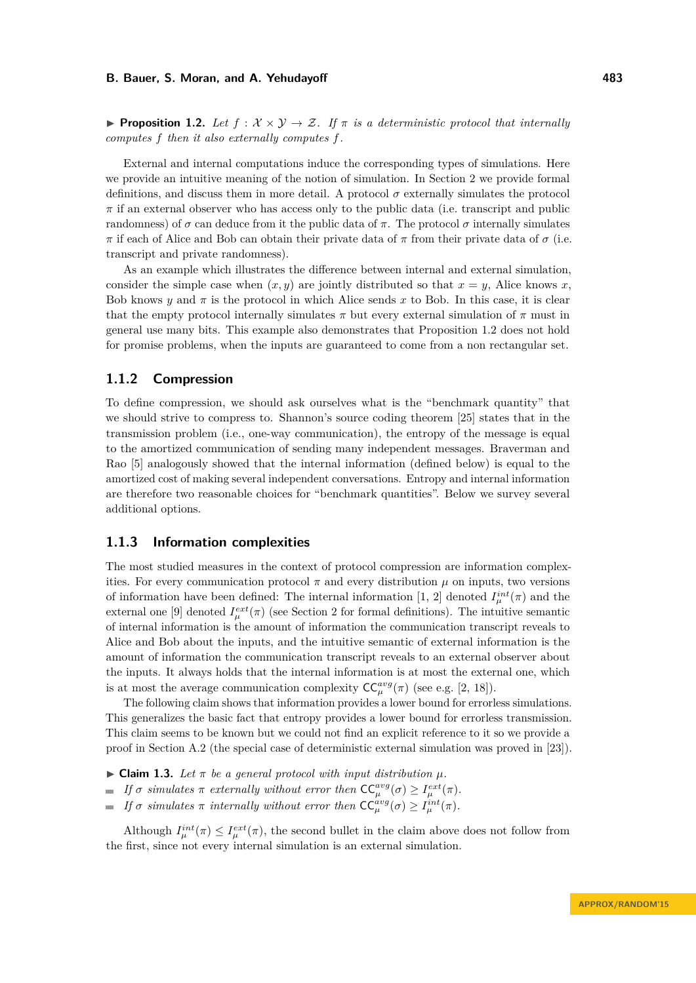<span id="page-2-0"></span>**Proposition 1.2.** Let  $f : \mathcal{X} \times \mathcal{Y} \rightarrow \mathcal{Z}$ . If  $\pi$  is a deterministic protocol that internally *computes f then it also externally computes f.*

External and internal computations induce the corresponding types of simulations. Here we provide an intuitive meaning of the notion of simulation. In Section [2](#page-7-0) we provide formal definitions, and discuss them in more detail. A protocol  $\sigma$  externally simulates the protocol  $\pi$  if an external observer who has access only to the public data (i.e. transcript and public randomness) of *σ* can deduce from it the public data of *π*. The protocol *σ* internally simulates *π* if each of Alice and Bob can obtain their private data of *π* from their private data of *π* (i.e. transcript and private randomness).

As an example which illustrates the difference between internal and external simulation, consider the simple case when  $(x, y)$  are jointly distributed so that  $x = y$ , Alice knows *x*, Bob knows *y* and  $\pi$  is the protocol in which Alice sends *x* to Bob. In this case, it is clear that the empty protocol internally simulates  $\pi$  but every external simulation of  $\pi$  must in general use many bits. This example also demonstrates that Proposition [1.2](#page-2-0) does not hold for promise problems, when the inputs are guaranteed to come from a non rectangular set.

# **1.1.2 Compression**

To define compression, we should ask ourselves what is the "benchmark quantity" that we should strive to compress to. Shannon's source coding theorem [\[25\]](#page-13-6) states that in the transmission problem (i.e., one-way communication), the entropy of the message is equal to the amortized communication of sending many independent messages. Braverman and Rao [\[5\]](#page-12-0) analogously showed that the internal information (defined below) is equal to the amortized cost of making several independent conversations. Entropy and internal information are therefore two reasonable choices for "benchmark quantities". Below we survey several additional options.

#### **1.1.3 Information complexities**

The most studied measures in the context of protocol compression are information complexities. For every communication protocol  $\pi$  and every distribution  $\mu$  on inputs, two versions of information have been defined: The internal information [\[1,](#page-12-3) [2\]](#page-12-2) denoted  $I_{\mu}^{int}(\pi)$  and the external one [\[9\]](#page-13-7) denoted  $I_{\mu}^{ext}(\pi)$  (see Section [2](#page-7-0) for formal definitions). The intuitive semantic of internal information is the amount of information the communication transcript reveals to Alice and Bob about the inputs, and the intuitive semantic of external information is the amount of information the communication transcript reveals to an external observer about the inputs. It always holds that the internal information is at most the external one, which is at most the average communication complexity  $CC_{\mu}^{avg}(\pi)$  (see e.g. [\[2,](#page-12-2) [18\]](#page-13-8)).

The following claim shows that information provides a lower bound for errorless simulations. This generalizes the basic fact that entropy provides a lower bound for errorless transmission. This claim seems to be known but we could not find an explicit reference to it so we provide a proof in Section [A.2](#page-14-2) (the special case of deterministic external simulation was proved in [\[23\]](#page-13-9)).

- <span id="page-2-1"></span> $\blacktriangleright$  **Claim 1.3.** Let  $\pi$  be a general protocol with input distribution  $\mu$ .
- *If*  $\sigma$  *simulates*  $\pi$  *externally without error then*  $\mathsf{CC}_{\mu}^{avg}(\sigma) \geq I_{\mu}^{ext}(\pi)$ *.*
- *If*  $\sigma$  *simulates*  $\pi$  *internally without error then*  $\mathsf{CC}_{\mu}^{avg}(\sigma) \geq I_{\mu}^{int}(\pi)$ *.*  $\mathcal{L}_{\mathcal{A}}$

Although  $I_{\mu}^{int}(\pi) \leq I_{\mu}^{ext}(\pi)$ , the second bullet in the claim above does not follow from the first, since not every internal simulation is an external simulation.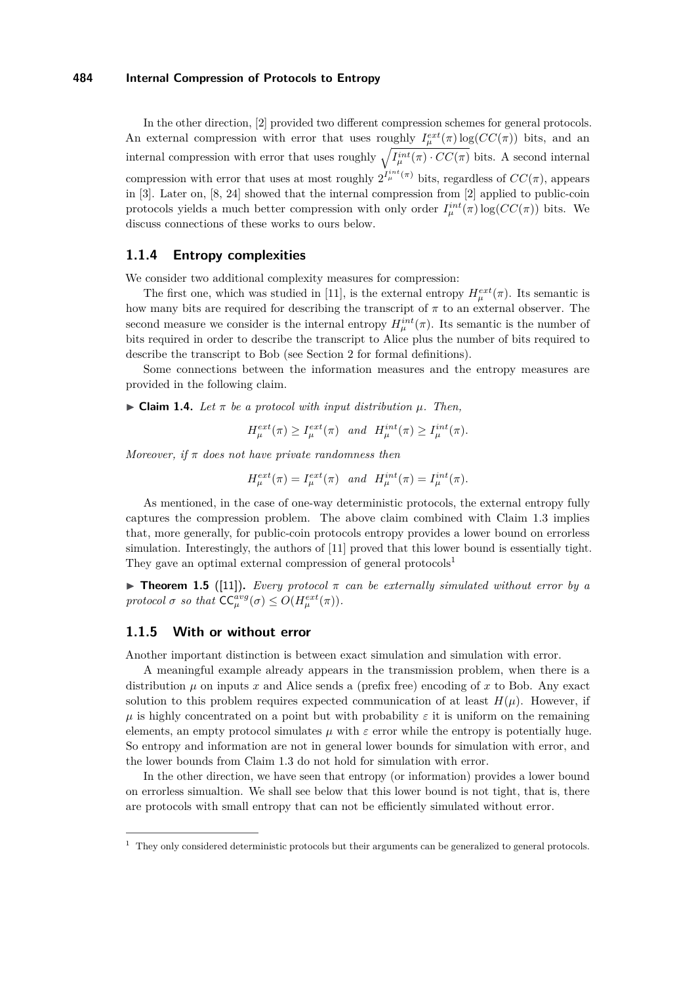In the other direction, [\[2\]](#page-12-2) provided two different compression schemes for general protocols. An external compression with error that uses roughly  $I_{\mu}^{ext}(\pi) \log(CC(\pi))$  bits, and an internal compression with error that uses roughly  $\sqrt{I_{\mu}^{int}(\pi) \cdot CC(\pi)}$  bits. A second internal compression with error that uses at most roughly  $2^{I_{\mu}^{int}(\pi)}$  bits, regardless of  $CC(\pi)$ , appears in [\[3\]](#page-12-4). Later on, [\[8,](#page-13-10) [24\]](#page-13-11) showed that the internal compression from [\[2\]](#page-12-2) applied to public-coin protocols yields a much better compression with only order  $I_{\mu}^{int}(\pi) \log(CC(\pi))$  bits. We discuss connections of these works to ours below.

## **1.1.4 Entropy complexities**

We consider two additional complexity measures for compression:

The first one, which was studied in [\[11\]](#page-13-12), is the external entropy  $H_{\mu}^{ext}(\pi)$ . Its semantic is how many bits are required for describing the transcript of  $\pi$  to an external observer. The second measure we consider is the internal entropy  $H^{int}_{\mu}(\pi)$ . Its semantic is the number of bits required in order to describe the transcript to Alice plus the number of bits required to describe the transcript to Bob (see Section [2](#page-7-0) for formal definitions).

Some connections between the information measures and the entropy measures are provided in the following claim.

 $\triangleright$  **Claim 1.4.** *Let*  $\pi$  *be a protocol with input distribution*  $\mu$ *. Then,* 

 $H_{\mu}^{ext}(\pi) \ge I_{\mu}^{ext}(\pi)$  and  $H_{\mu}^{int}(\pi) \ge I_{\mu}^{int}(\pi)$ .

*Moreover, if π does not have private randomness then*

$$
H_{\mu}^{ext}(\pi) = I_{\mu}^{ext}(\pi) \quad and \quad H_{\mu}^{int}(\pi) = I_{\mu}^{int}(\pi).
$$

As mentioned, in the case of one-way deterministic protocols, the external entropy fully captures the compression problem. The above claim combined with Claim [1.3](#page-2-1) implies that, more generally, for public-coin protocols entropy provides a lower bound on errorless simulation. Interestingly, the authors of [\[11\]](#page-13-12) proved that this lower bound is essentially tight. They gave an optimal external compression of general protocols<sup>[1](#page-3-0)</sup>

<span id="page-3-1"></span>**Find Theorem 1.5** ([\[11\]](#page-13-12)). *Every protocol*  $\pi$  *can be externally simulated without error by a protocol*  $\sigma$  *so that*  $\mathsf{CC}_{\mu}^{avg}(\sigma) \leq O(H_{\mu}^{ext}(\pi))$ *.* 

#### **1.1.5 With or without error**

Another important distinction is between exact simulation and simulation with error.

A meaningful example already appears in the transmission problem, when there is a distribution  $\mu$  on inputs  $x$  and Alice sends a (prefix free) encoding of  $x$  to Bob. Any exact solution to this problem requires expected communication of at least  $H(\mu)$ . However, if  $\mu$  is highly concentrated on a point but with probability  $\varepsilon$  it is uniform on the remaining elements, an empty protocol simulates  $\mu$  with  $\varepsilon$  error while the entropy is potentially huge. So entropy and information are not in general lower bounds for simulation with error, and the lower bounds from Claim [1.3](#page-2-1) do not hold for simulation with error.

In the other direction, we have seen that entropy (or information) provides a lower bound on errorless simualtion. We shall see below that this lower bound is not tight, that is, there are protocols with small entropy that can not be efficiently simulated without error.

<span id="page-3-0"></span><sup>&</sup>lt;sup>1</sup> They only considered deterministic protocols but their arguments can be generalized to general protocols.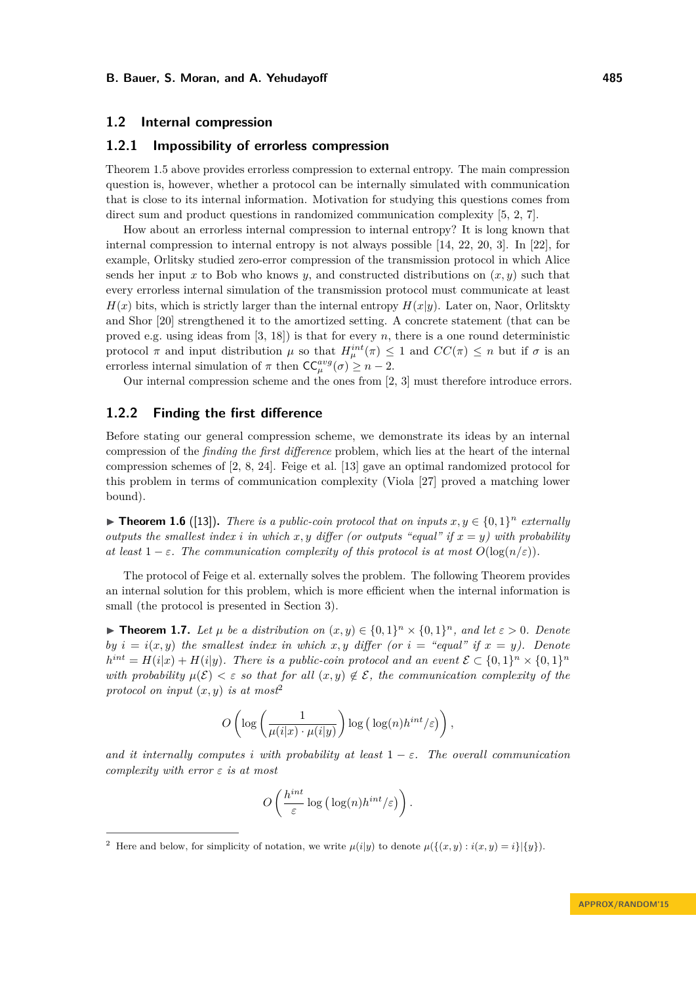#### **1.2 Internal compression**

# **1.2.1 Impossibility of errorless compression**

Theorem [1.5](#page-3-1) above provides errorless compression to external entropy. The main compression question is, however, whether a protocol can be internally simulated with communication that is close to its internal information. Motivation for studying this questions comes from direct sum and product questions in randomized communication complexity [\[5,](#page-12-0) [2,](#page-12-2) [7\]](#page-13-5).

How about an errorless internal compression to internal entropy? It is long known that internal compression to internal entropy is not always possible [\[14,](#page-13-13) [22,](#page-13-14) [20,](#page-13-15) [3\]](#page-12-4). In [\[22\]](#page-13-14), for example, Orlitsky studied zero-error compression of the transmission protocol in which Alice sends her input x to Bob who knows  $y$ , and constructed distributions on  $(x, y)$  such that every errorless internal simulation of the transmission protocol must communicate at least  $H(x)$  bits, which is strictly larger than the internal entropy  $H(x|y)$ . Later on, Naor, Orlitskty and Shor [\[20\]](#page-13-15) strengthened it to the amortized setting. A concrete statement (that can be proved e.g. using ideas from [\[3,](#page-12-4) [18\]](#page-13-8)) is that for every *n*, there is a one round deterministic protocol  $\pi$  and input distribution  $\mu$  so that  $H^{int}_{\mu}(\pi) \leq 1$  and  $CC(\pi) \leq n$  but if  $\sigma$  is an errorless internal simulation of  $\pi$  then  $CC_{\mu}^{avg}(\sigma) \geq n-2$ .

Our internal compression scheme and the ones from [\[2,](#page-12-2) [3\]](#page-12-4) must therefore introduce errors.

## **1.2.2 Finding the first difference**

Before stating our general compression scheme, we demonstrate its ideas by an internal compression of the *finding the first difference* problem, which lies at the heart of the internal compression schemes of [\[2,](#page-12-2) [8,](#page-13-10) [24\]](#page-13-11). Feige et al. [\[13\]](#page-13-16) gave an optimal randomized protocol for this problem in terms of communication complexity (Viola [\[27\]](#page-13-17) proved a matching lower bound).

<span id="page-4-2"></span>▶ **Theorem 1.6** ([\[13\]](#page-13-16)). *There is a public-coin protocol that on inputs*  $x, y \in \{0, 1\}^n$  *externally outputs the smallest index <i>i* in which  $x, y$  differ (or outputs "equal" if  $x = y$ ) with probability *at least*  $1 - \varepsilon$ *. The communication complexity of this protocol is at most*  $O(\log(n/\varepsilon))$ *.* 

The protocol of Feige et al. externally solves the problem. The following Theorem provides an internal solution for this problem, which is more efficient when the internal information is small (the protocol is presented in Section [3\)](#page-9-0).

<span id="page-4-1"></span>**► Theorem 1.7.** Let  $\mu$  be a distribution on  $(x, y) \in \{0, 1\}^n \times \{0, 1\}^n$ , and let  $\varepsilon > 0$ . Denote *by*  $i = i(x, y)$  *the smallest index in which*  $x, y$  *differ (or*  $i =$  "*equal" if*  $x = y$ *). Denote*  $h^{int} = H(i|x) + H(i|y)$ . There is a public-coin protocol and an event  $\mathcal{E} \subset \{0,1\}^n \times \{0,1\}^n$ *with probability*  $\mu(\mathcal{E}) < \varepsilon$  *so that for all*  $(x, y) \notin \mathcal{E}$ , the communication complexity of the *protocol on input*  $(x, y)$  *is at most*<sup>[2](#page-4-0)</sup>

$$
O\left(\log\left(\frac{1}{\mu(i|x)\cdot\mu(i|y)}\right)\log\left(\log(n)h^{int}/\varepsilon\right)\right),\right
$$

*and it internally computes i with probability at least*  $1 - \varepsilon$ *. The overall communication complexity with error ε is at most*

$$
O\left(\frac{h^{int}}{\varepsilon}\log\big(\log(n)h^{int}/\varepsilon\big)\right).
$$

<span id="page-4-0"></span><sup>&</sup>lt;sup>2</sup> Here and below, for simplicity of notation, we write  $\mu(i|y)$  to denote  $\mu(\{(x, y) : i(x, y) = i\}|\{y\})$ .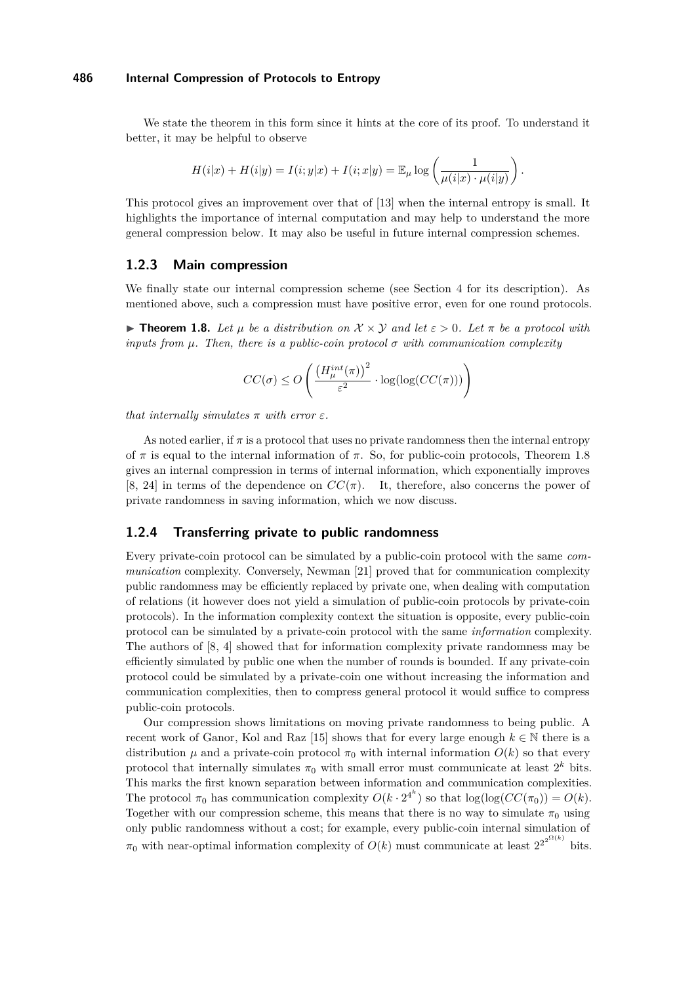We state the theorem in this form since it hints at the core of its proof. To understand it better, it may be helpful to observe

$$
H(i|x) + H(i|y) = I(i; y|x) + I(i; x|y) = \mathbb{E}_{\mu} \log \left( \frac{1}{\mu(i|x) \cdot \mu(i|y)} \right).
$$

This protocol gives an improvement over that of [\[13\]](#page-13-16) when the internal entropy is small. It highlights the importance of internal computation and may help to understand the more general compression below. It may also be useful in future internal compression schemes.

### **1.2.3 Main compression**

We finally state our internal compression scheme (see Section [4](#page-10-0) for its description). As mentioned above, such a compression must have positive error, even for one round protocols.

<span id="page-5-0"></span>**Figure 1.8.** *Let u be a distribution on*  $\mathcal{X} \times \mathcal{Y}$  *and let*  $\varepsilon > 0$ *. Let*  $\pi$  *be a protocol with inputs from*  $\mu$ *. Then, there is a public-coin protocol*  $\sigma$  *with communication complexity* 

$$
CC(\sigma) \leq O\left(\frac{\left(H^{int}_{\mu}(\pi)\right)^2}{\varepsilon^2} \cdot \log(\log(CC(\pi)))\right)
$$

*that internally simulates*  $\pi$  *with error*  $\varepsilon$ *.* 

As noted earlier, if  $\pi$  is a protocol that uses no private randomness then the internal entropy of *π* is equal to the internal information of *π*. So, for public-coin protocols, Theorem [1.8](#page-5-0) gives an internal compression in terms of internal information, which exponentially improves [\[8,](#page-13-10) [24\]](#page-13-11) in terms of the dependence on  $CC(\pi)$ . It, therefore, also concerns the power of private randomness in saving information, which we now discuss.

#### **1.2.4 Transferring private to public randomness**

Every private-coin protocol can be simulated by a public-coin protocol with the same *communication* complexity. Conversely, Newman [\[21\]](#page-13-18) proved that for communication complexity public randomness may be efficiently replaced by private one, when dealing with computation of relations (it however does not yield a simulation of public-coin protocols by private-coin protocols). In the information complexity context the situation is opposite, every public-coin protocol can be simulated by a private-coin protocol with the same *information* complexity. The authors of [\[8,](#page-13-10) [4\]](#page-12-5) showed that for information complexity private randomness may be efficiently simulated by public one when the number of rounds is bounded. If any private-coin protocol could be simulated by a private-coin one without increasing the information and communication complexities, then to compress general protocol it would suffice to compress public-coin protocols.

Our compression shows limitations on moving private randomness to being public. A recent work of Ganor, Kol and Raz [\[15\]](#page-13-19) shows that for every large enough  $k \in \mathbb{N}$  there is a distribution  $\mu$  and a private-coin protocol  $\pi_0$  with internal information  $O(k)$  so that every protocol that internally simulates  $\pi_0$  with small error must communicate at least  $2^k$  bits. This marks the first known separation between information and communication complexities. The protocol  $\pi_0$  has communication complexity  $O(k \cdot 2^{4^k})$  so that  $\log(\log(CC(\pi_0))) = O(k)$ . Together with our compression scheme, this means that there is no way to simulate  $\pi_0$  using only public randomness without a cost; for example, every public-coin internal simulation of  $\pi_0$  with near-optimal information complexity of  $O(k)$  must communicate at least  $2^{2^{2^{\Omega(k)}}}$  bits.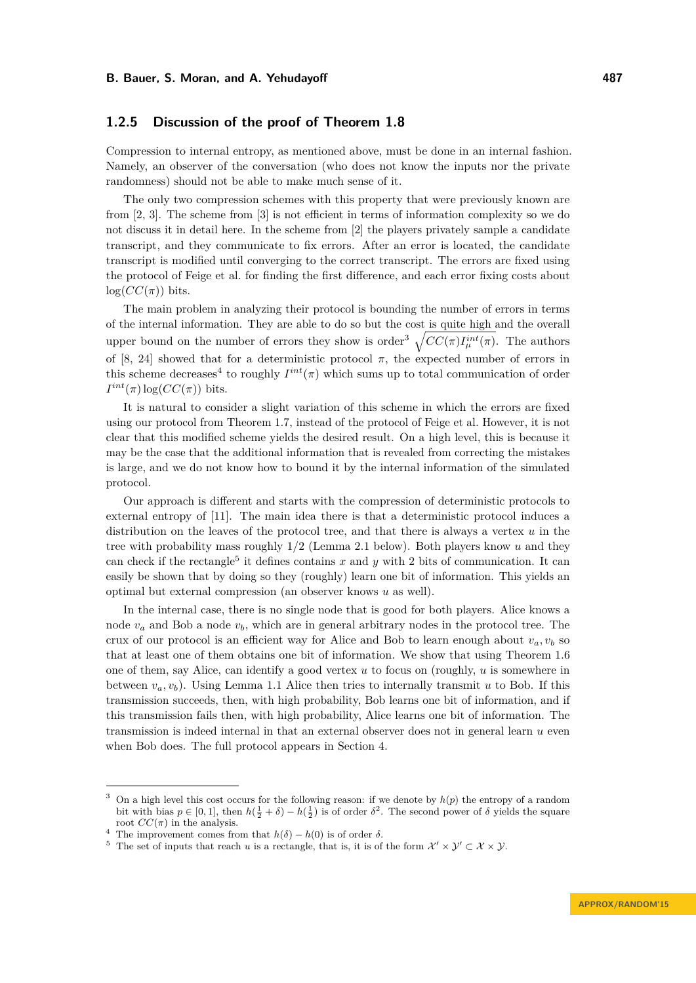# **1.2.5 Discussion of the proof of Theorem [1.8](#page-5-0)**

Compression to internal entropy, as mentioned above, must be done in an internal fashion. Namely, an observer of the conversation (who does not know the inputs nor the private randomness) should not be able to make much sense of it.

The only two compression schemes with this property that were previously known are from [\[2,](#page-12-2) [3\]](#page-12-4). The scheme from [\[3\]](#page-12-4) is not efficient in terms of information complexity so we do not discuss it in detail here. In the scheme from [\[2\]](#page-12-2) the players privately sample a candidate transcript, and they communicate to fix errors. After an error is located, the candidate transcript is modified until converging to the correct transcript. The errors are fixed using the protocol of Feige et al. for finding the first difference, and each error fixing costs about  $log(CC(\pi))$  bits.

The main problem in analyzing their protocol is bounding the number of errors in terms of the internal information. They are able to do so but the cost is quite high and the overall upper bound on the number of errors they show is order<sup>[3](#page-6-0)</sup>  $\sqrt{CC(\pi)I_{\mu}^{int}(\pi)}$ . The authors of [\[8,](#page-13-10) [24\]](#page-13-11) showed that for a deterministic protocol  $\pi$ , the expected number of errors in this scheme decreases<sup>[4](#page-6-1)</sup> to roughly  $I^{int}(\pi)$  which sums up to total communication of order  $I^{int}(\pi) \log (CC(\pi))$  bits.

It is natural to consider a slight variation of this scheme in which the errors are fixed using our protocol from Theorem [1.7,](#page-4-1) instead of the protocol of Feige et al. However, it is not clear that this modified scheme yields the desired result. On a high level, this is because it may be the case that the additional information that is revealed from correcting the mistakes is large, and we do not know how to bound it by the internal information of the simulated protocol.

Our approach is different and starts with the compression of deterministic protocols to external entropy of [\[11\]](#page-13-12). The main idea there is that a deterministic protocol induces a distribution on the leaves of the protocol tree, and that there is always a vertex *u* in the tree with probability mass roughly 1*/*2 (Lemma [2.1](#page-8-0) below). Both players know *u* and they can check if the rectangle<sup>[5](#page-6-2)</sup> it defines contains  $x$  and  $y$  with 2 bits of communication. It can easily be shown that by doing so they (roughly) learn one bit of information. This yields an optimal but external compression (an observer knows *u* as well).

In the internal case, there is no single node that is good for both players. Alice knows a node  $v_a$  and Bob a node  $v_b$ , which are in general arbitrary nodes in the protocol tree. The crux of our protocol is an efficient way for Alice and Bob to learn enough about  $v_a, v_b$  so that at least one of them obtains one bit of information. We show that using Theorem [1.6](#page-4-2) one of them, say Alice, can identify a good vertex *u* to focus on (roughly, *u* is somewhere in between  $v_a, v_b$ ). Using Lemma [1.1](#page-1-0) Alice then tries to internally transmit *u* to Bob. If this transmission succeeds, then, with high probability, Bob learns one bit of information, and if this transmission fails then, with high probability, Alice learns one bit of information. The transmission is indeed internal in that an external observer does not in general learn *u* even when Bob does. The full protocol appears in Section [4.](#page-10-0)

<span id="page-6-0"></span><sup>&</sup>lt;sup>3</sup> On a high level this cost occurs for the following reason: if we denote by  $h(p)$  the entropy of a random bit with bias  $p \in [0,1]$ , then  $h(\frac{1}{2} + \delta) - h(\frac{1}{2})$  is of order  $\delta^2$ . The second power of  $\delta$  yields the square root  $CC(\pi)$  in the analysis.

<span id="page-6-1"></span><sup>&</sup>lt;sup>4</sup> The improvement comes from that  $h(\delta) - h(0)$  is of order  $\delta$ .

<span id="page-6-2"></span><sup>&</sup>lt;sup>5</sup> The set of inputs that reach *u* is a rectangle, that is, it is of the form  $\mathcal{X}' \times \mathcal{Y}' \subset \mathcal{X} \times \mathcal{Y}$ .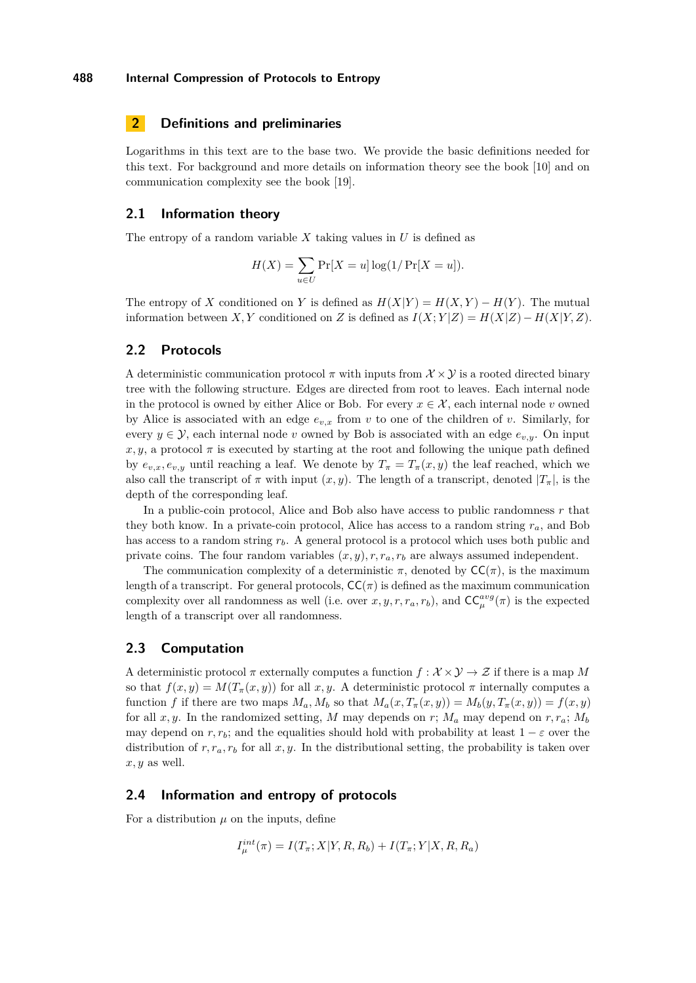# <span id="page-7-0"></span>**2 Definitions and preliminaries**

Logarithms in this text are to the base two. We provide the basic definitions needed for this text. For background and more details on information theory see the book [\[10\]](#page-13-20) and on communication complexity see the book [\[19\]](#page-13-21).

## **2.1 Information theory**

The entropy of a random variable *X* taking values in *U* is defined as

$$
H(X) = \sum_{u \in U} \Pr[X = u] \log(1/\Pr[X = u]).
$$

The entropy of *X* conditioned on *Y* is defined as  $H(X|Y) = H(X, Y) - H(Y)$ . The mutual information between *X, Y* conditioned on *Z* is defined as  $I(X; Y|Z) = H(X|Z) - H(X|Y, Z)$ .

# **2.2 Protocols**

A deterministic communication protocol  $\pi$  with inputs from  $\mathcal{X} \times \mathcal{Y}$  is a rooted directed binary tree with the following structure. Edges are directed from root to leaves. Each internal node in the protocol is owned by either Alice or Bob. For every  $x \in \mathcal{X}$ , each internal node *v* owned by Alice is associated with an edge  $e_{v,x}$  from  $v$  to one of the children of  $v$ . Similarly, for every  $y \in \mathcal{Y}$ , each internal node *v* owned by Bob is associated with an edge  $e_{v,y}$ . On input  $x, y$ , a protocol  $\pi$  is executed by starting at the root and following the unique path defined by  $e_{v,x}, e_{v,y}$  until reaching a leaf. We denote by  $T_{\pi} = T_{\pi}(x, y)$  the leaf reached, which we also call the transcript of  $\pi$  with input  $(x, y)$ . The length of a transcript, denoted  $|T_{\pi}|$ , is the depth of the corresponding leaf.

In a public-coin protocol, Alice and Bob also have access to public randomness *r* that they both know. In a private-coin protocol, Alice has access to a random string  $r_a$ , and Bob has access to a random string  $r_b$ . A general protocol is a protocol which uses both public and private coins. The four random variables  $(x, y)$ ,  $r$ ,  $r_a$ ,  $r_b$  are always assumed independent.

The communication complexity of a deterministic  $\pi$ , denoted by  $\mathsf{CC}(\pi)$ , is the maximum length of a transcript. For general protocols,  $\mathsf{CC}(\pi)$  is defined as the maximum communication complexity over all randomness as well (i.e. over  $x, y, r, r_a, r_b$ ), and  $\mathsf{CC}_{\mu}^{avg}(\pi)$  is the expected length of a transcript over all randomness.

## **2.3 Computation**

A deterministic protocol  $\pi$  externally computes a function  $f : \mathcal{X} \times \mathcal{Y} \to \mathcal{Z}$  if there is a map M so that  $f(x, y) = M(T_\pi(x, y))$  for all x, y. A deterministic protocol  $\pi$  internally computes a function *f* if there are two maps  $M_a, M_b$  so that  $M_a(x, T_\pi(x, y)) = M_b(y, T_\pi(x, y)) = f(x, y)$ for all *x, y*. In the randomized setting, *M* may depends on *r*;  $M_a$  may depend on  $r, r_a$ ;  $M_b$ may depend on  $r, r_b$ ; and the equalities should hold with probability at least  $1 - \varepsilon$  over the distribution of  $r, r_a, r_b$  for all  $x, y$ . In the distributional setting, the probability is taken over *x, y* as well.

#### **2.4 Information and entropy of protocols**

For a distribution  $\mu$  on the inputs, define

$$
I_{\mu}^{int}(\pi) = I(T_{\pi}; X | Y, R, R_b) + I(T_{\pi}; Y | X, R, R_a)
$$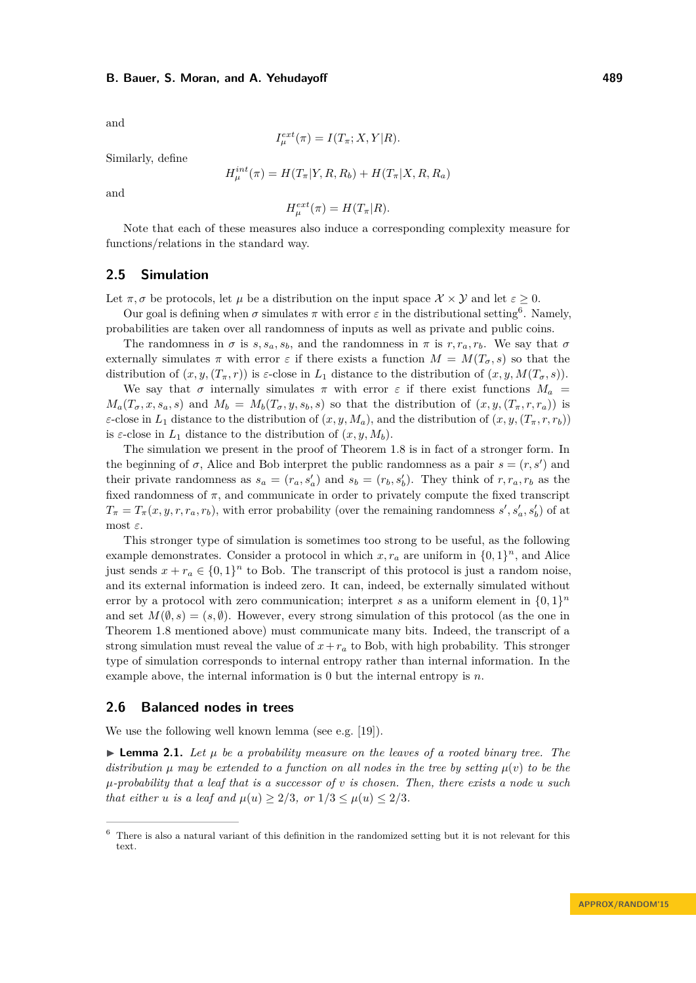and

$$
I_{\mu}^{ext}(\pi) = I(T_{\pi}; X, Y|R).
$$

Similarly, define

$$
H_{\mu}^{int}(\pi) = H(T_{\pi}|Y, R, R_b) + H(T_{\pi}|X, R, R_a)
$$

and

$$
H_{\mu}^{ext}(\pi) = H(T_{\pi}|R).
$$

Note that each of these measures also induce a corresponding complexity measure for functions/relations in the standard way.

#### **2.5 Simulation**

Let  $\pi, \sigma$  be protocols, let  $\mu$  be a distribution on the input space  $\mathcal{X} \times \mathcal{Y}$  and let  $\varepsilon \geq 0$ .

Our goal is defining when  $\sigma$  simulates  $\pi$  with error  $\varepsilon$  in the distributional setting<sup>[6](#page-8-1)</sup>. Namely, probabilities are taken over all randomness of inputs as well as private and public coins.

The randomness in  $\sigma$  is  $s, s_a, s_b$ , and the randomness in  $\pi$  is  $r, r_a, r_b$ . We say that  $\sigma$ externally simulates  $\pi$  with error  $\varepsilon$  if there exists a function  $M = M(T_{\sigma}, s)$  so that the distribution of  $(x, y, (T_{\pi}, r))$  is *ε*-close in  $L_1$  distance to the distribution of  $(x, y, M(T_{\sigma}, s))$ .

We say that  $\sigma$  internally simulates  $\pi$  with error  $\varepsilon$  if there exist functions  $M_a$  =  $M_a(T_\sigma, x, s_a, s)$  and  $M_b = M_b(T_\sigma, y, s_b, s)$  so that the distribution of  $(x, y, (T_\pi, r, r_a))$  is *ε*-close in  $L_1$  distance to the distribution of  $(x, y, M_a)$ , and the distribution of  $(x, y, (T_\pi, r, r_b))$ is  $\varepsilon$ -close in  $L_1$  distance to the distribution of  $(x, y, M_b)$ .

The simulation we present in the proof of Theorem [1.8](#page-5-0) is in fact of a stronger form. In the beginning of  $\sigma$ , Alice and Bob interpret the public randomness as a pair  $s = (r, s')$  and their private randomness as  $s_a = (r_a, s'_a)$  and  $s_b = (r_b, s'_b)$ . They think of  $r, r_a, r_b$  as the fixed randomness of  $\pi$ , and communicate in order to privately compute the fixed transcript  $T_{\pi} = T_{\pi}(x, y, r, r_a, r_b)$ , with error probability (over the remaining randomness *s*', *s*'<sub>a</sub>, *s*'<sub>b</sub>) of at most *ε*.

This stronger type of simulation is sometimes too strong to be useful, as the following example demonstrates. Consider a protocol in which  $x, r_a$  are uniform in  $\{0, 1\}^n$ , and Alice just sends  $x + r_a \in \{0, 1\}^n$  to Bob. The transcript of this protocol is just a random noise, and its external information is indeed zero. It can, indeed, be externally simulated without error by a protocol with zero communication; interpret *s* as a uniform element in  $\{0,1\}^n$ and set  $M(\emptyset, s) = (s, \emptyset)$ . However, every strong simulation of this protocol (as the one in Theorem [1.8](#page-5-0) mentioned above) must communicate many bits. Indeed, the transcript of a strong simulation must reveal the value of  $x + r_a$  to Bob, with high probability. This stronger type of simulation corresponds to internal entropy rather than internal information. In the example above, the internal information is 0 but the internal entropy is *n*.

#### **2.6 Balanced nodes in trees**

We use the following well known lemma (see e.g. [\[19\]](#page-13-21)).

<span id="page-8-0"></span> $\triangleright$  **Lemma 2.1.** Let  $\mu$  be a probability measure on the leaves of a rooted binary tree. The *distribution*  $\mu$  *may be extended to a function on all nodes in the tree by setting*  $\mu(v)$  *to be the µ-probability that a leaf that is a successor of v is chosen. Then, there exists a node u such that either u is a leaf and*  $\mu(u) \geq 2/3$ *, or*  $1/3 \leq \mu(u) \leq 2/3$ *.* 

<span id="page-8-1"></span><sup>6</sup> There is also a natural variant of this definition in the randomized setting but it is not relevant for this text.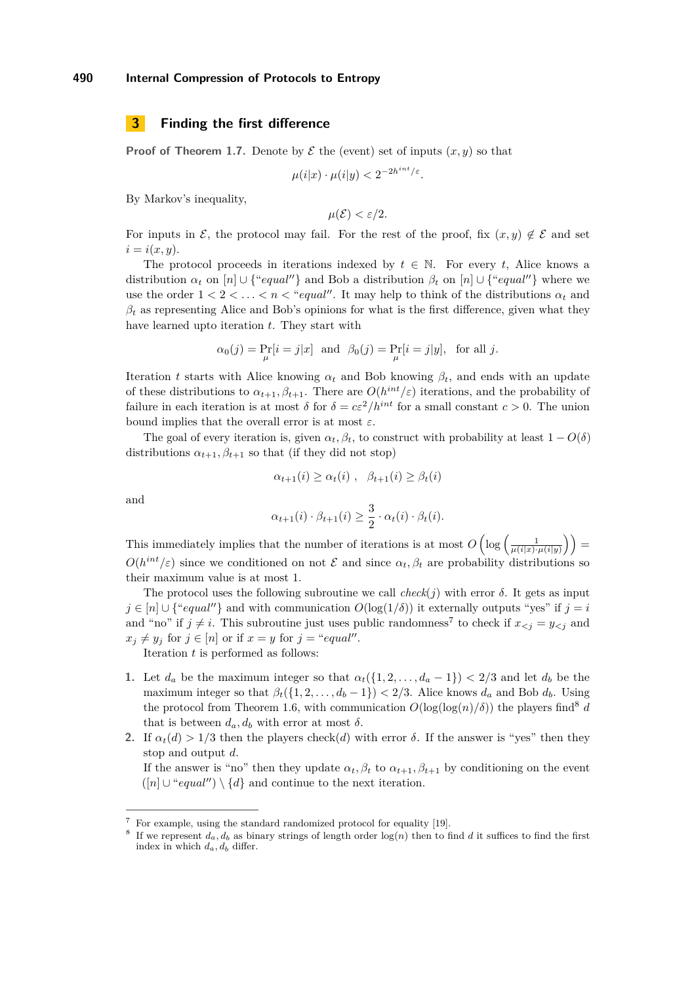#### <span id="page-9-0"></span>**3 Finding the first difference**

**Proof of Theorem [1.7.](#page-4-1)** Denote by  $\mathcal{E}$  the (event) set of inputs  $(x, y)$  so that

$$
\mu(i|x) \cdot \mu(i|y) < 2^{-2h^{int}/\varepsilon}.
$$

By Markov's inequality,

$$
\mu(\mathcal{E}) < \varepsilon/2.
$$

For inputs in E, the protocol may fail. For the rest of the proof, fix  $(x, y) \notin \mathcal{E}$  and set  $i = i(x, y)$ .

The protocol proceeds in iterations indexed by  $t \in \mathbb{N}$ . For every *t*, Alice knows a distribution  $\alpha_t$  on  $[n] \cup \{``equal''\}$  and Bob a distribution  $\beta_t$  on  $[n] \cup \{``equal''\}$  where we use the order  $1 < 2 < \ldots < n <$  "*equal*". It may help to think of the distributions  $\alpha_t$  and  $\beta_t$  as representing Alice and Bob's opinions for what is the first difference, given what they have learned upto iteration *t*. They start with

$$
\alpha_0(j) = \Pr_{\mu}[i = j|x] \text{ and } \beta_0(j) = \Pr_{\mu}[i = j|y], \text{ for all } j.
$$

Iteration *t* starts with Alice knowing  $\alpha_t$  and Bob knowing  $\beta_t$ , and ends with an update of these distributions to  $\alpha_{t+1}, \beta_{t+1}$ . There are  $O(h^{int}/\varepsilon)$  iterations, and the probability of failure in each iteration is at most  $\delta$  for  $\delta = c\varepsilon^2/h^{int}$  for a small constant  $c > 0$ . The union bound implies that the overall error is at most *ε*.

The goal of every iteration is, given  $\alpha_t, \beta_t$ , to construct with probability at least  $1 - O(\delta)$ distributions  $\alpha_{t+1}, \beta_{t+1}$  so that (if they did not stop)

$$
\alpha_{t+1}(i) \geq \alpha_t(i) , \quad \beta_{t+1}(i) \geq \beta_t(i)
$$

and

$$
\alpha_{t+1}(i) \cdot \beta_{t+1}(i) \ge \frac{3}{2} \cdot \alpha_t(i) \cdot \beta_t(i).
$$

This immediately implies that the number of iterations is at most  $O\left(\log\left(\frac{1}{\mu(i|x)\cdot\mu(i|y)}\right)\right)$  $O(h^{int}/\varepsilon)$  since we conditioned on not  $\mathcal E$  and since  $\alpha_t, \beta_t$  are probability distributions so their maximum value is at most 1.

The protocol uses the following subroutine we call  $check(j)$  with error  $\delta$ . It gets as input  $j \in [n] \cup \{``equal''\}$  and with communication  $O(\log(1/\delta))$  it externally outputs "yes" if  $j = i$ and "no" if  $j \neq i$ . This subroutine just uses public randomness<sup>[7](#page-9-1)</sup> to check if  $x_{\leq j} = y_{\leq j}$  and  $x_j \neq y_j$  for  $j \in [n]$  or if  $x = y$  for  $j = "equal".$ 

Iteration *t* is performed as follows:

- **1.** Let  $d_a$  be the maximum integer so that  $\alpha_t({1, 2, \ldots, d_a 1}) < 2/3$  and let  $d_b$  be the maximum integer so that  $\beta_t({1, 2, ..., d_b - 1}) < 2/3$ . Alice knows  $d_a$  and Bob  $d_b$ . Using the protocol from Theorem [1.6,](#page-4-2) with communication  $O(\log(\log(n)/\delta))$  the players find<sup>[8](#page-9-2)</sup> *d* that is between  $d_a, d_b$  with error at most  $\delta$ .
- **2.** If  $\alpha_t(d) > 1/3$  then the players check(*d*) with error *δ*. If the answer is "yes" then they stop and output *d*.

If the answer is "no" then they update  $\alpha_t, \beta_t$  to  $\alpha_{t+1}, \beta_{t+1}$  by conditioning on the event  $([n] \cup "equal") \setminus \{d\}$  and continue to the next iteration.

<span id="page-9-1"></span> $^7\,$  For example, using the standard randomized protocol for equality [\[19\]](#page-13-21).

<span id="page-9-2"></span><sup>&</sup>lt;sup>8</sup> If we represent  $d_a, d_b$  as binary strings of length order  $log(n)$  then to find *d* it suffices to find the first index in which  $d_a, d_b$  differ.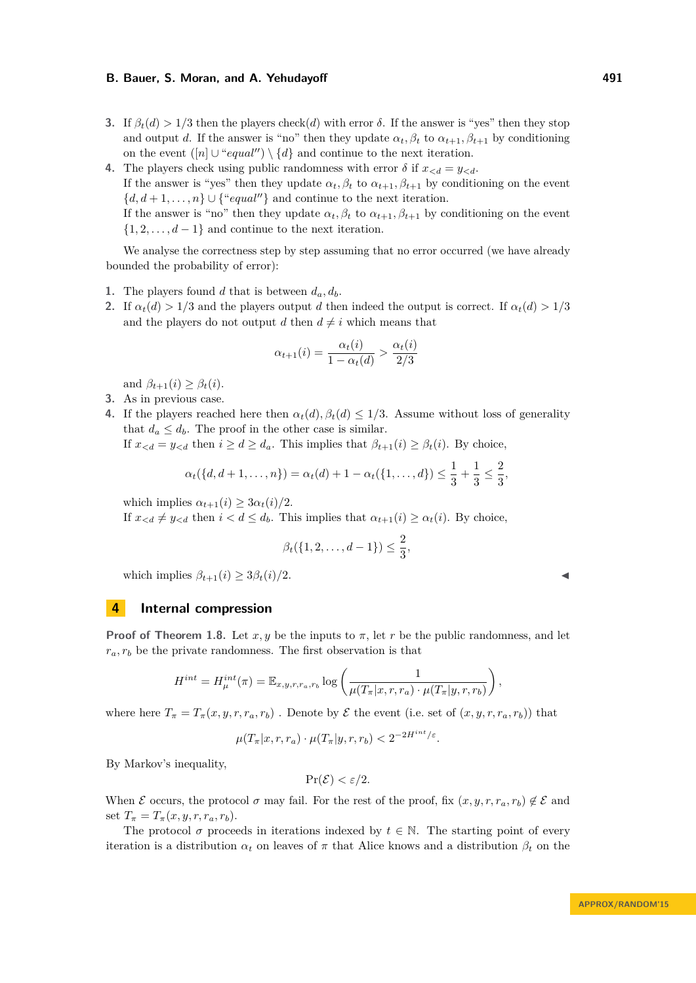- **3.** If  $β_t(d) > 1/3$  then the players check(*d*) with error *δ*. If the answer is "yes" then they stop and output *d*. If the answer is "no" then they update  $\alpha_t, \beta_t$  to  $\alpha_{t+1}, \beta_{t+1}$  by conditioning on the event  $([n] \cup "equal") \setminus \{d\}$  and continue to the next iteration.
- **4.** The players check using public randomness with error  $\delta$  if  $x_{< d} = y_{< d}$ . If the answer is "yes" then they update  $\alpha_t, \beta_t$  to  $\alpha_{t+1}, \beta_{t+1}$  by conditioning on the event  ${d, d+1, \ldots, n} \cup {``equal''}$  and continue to the next iteration. If the answer is "no" then they update  $\alpha_t, \beta_t$  to  $\alpha_{t+1}, \beta_{t+1}$  by conditioning on the event  $\{1, 2, \ldots, d-1\}$  and continue to the next iteration.

We analyse the correctness step by step assuming that no error occurred (we have already bounded the probability of error):

- **1.** The players found *d* that is between  $d_a, d_b$ .
- **2.** If  $\alpha_t(d) > 1/3$  and the players output *d* then indeed the output is correct. If  $\alpha_t(d) > 1/3$ and the players do not output *d* then  $d \neq i$  which means that

$$
\alpha_{t+1}(i) = \frac{\alpha_t(i)}{1 - \alpha_t(d)} > \frac{\alpha_t(i)}{2/3}
$$

and  $\beta_{t+1}(i) \geq \beta_t(i)$ .

- **3.** As in previous case.
- **4.** If the players reached here then  $\alpha_t(d), \beta_t(d) \leq 1/3$ . Assume without loss of generality that  $d_a \leq d_b$ . The proof in the other case is similar.

If  $x_{< d} = y_{< d}$  then  $i \geq d \geq d_a$ . This implies that  $\beta_{t+1}(i) \geq \beta_t(i)$ . By choice,

$$
\alpha_t(\{d, d+1, \ldots, n\}) = \alpha_t(d) + 1 - \alpha_t(\{1, \ldots, d\}) \le \frac{1}{3} + \frac{1}{3} \le \frac{2}{3},
$$

which implies  $\alpha_{t+1}(i) \geq 3\alpha_t(i)/2$ .

If  $x_{< d} \neq y_{< d}$  then  $i < d \leq d_b$ . This implies that  $\alpha_{t+1}(i) \geq \alpha_t(i)$ . By choice,

$$
\beta_t(\{1, 2, \dots, d-1\}) \le \frac{2}{3},
$$

which implies  $\beta_{t+1}(i) \geq 3\beta_t(i)/2$ .

# <span id="page-10-0"></span>**4 Internal compression**

**Proof of Theorem [1.8.](#page-5-0)** Let  $x, y$  be the inputs to  $\pi$ , let  $r$  be the public randomness, and let  $r_a, r_b$  be the private randomness. The first observation is that

$$
H^{int} = H_{\mu}^{int}(\pi) = \mathbb{E}_{x,y,r,r_a,r_b} \log \left( \frac{1}{\mu(T_{\pi}|x,r,r_a) \cdot \mu(T_{\pi}|y,r,r_b)} \right),
$$

where here  $T_{\pi} = T_{\pi}(x, y, r, r_a, r_b)$ . Denote by  $\mathcal E$  the event (i.e. set of  $(x, y, r, r_a, r_b)$ ) that

$$
\mu(T_{\pi}|x, r, r_a) \cdot \mu(T_{\pi}|y, r, r_b) < 2^{-2H^{int}/\varepsilon}.
$$

By Markov's inequality,

$$
\Pr(\mathcal{E}) < \varepsilon/2.
$$

When E occurs, the protocol  $\sigma$  may fail. For the rest of the proof, fix  $(x, y, r, r_a, r_b) \notin \mathcal{E}$  and set  $T_{\pi} = T_{\pi}(x, y, r, r_a, r_b)$ .

The protocol  $\sigma$  proceeds in iterations indexed by  $t \in \mathbb{N}$ . The starting point of every iteration is a distribution  $\alpha_t$  on leaves of  $\pi$  that Alice knows and a distribution  $\beta_t$  on the

$$
\blacktriangleleft
$$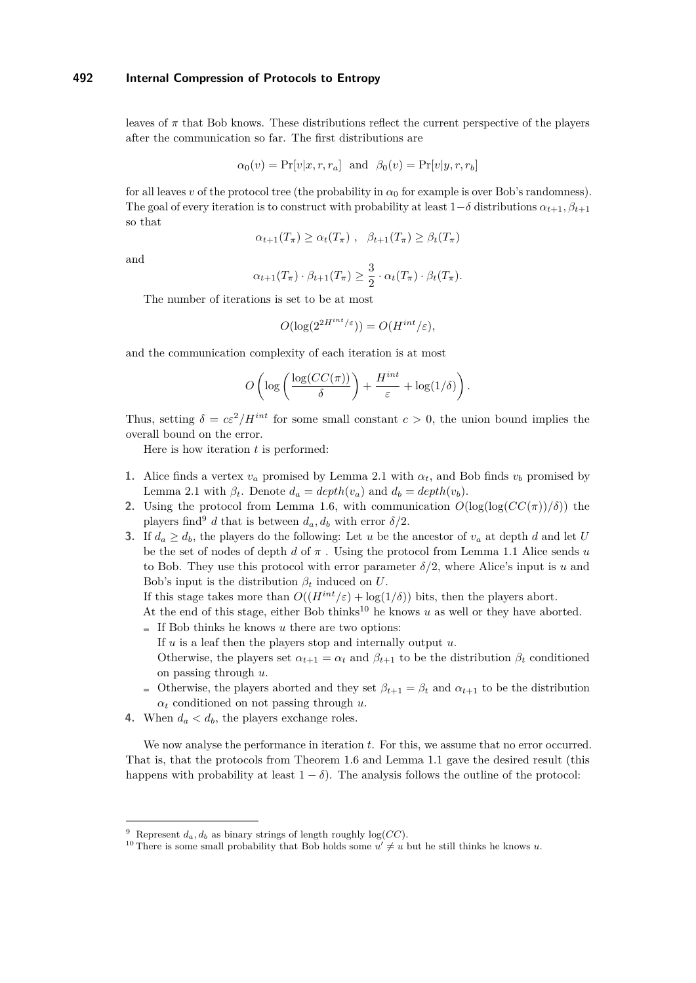leaves of  $\pi$  that Bob knows. These distributions reflect the current perspective of the players after the communication so far. The first distributions are

$$
\alpha_0(v) = \Pr[v|x, r, r_a]
$$
 and  $\beta_0(v) = \Pr[v|y, r, r_b]$ 

for all leaves *v* of the protocol tree (the probability in  $\alpha_0$  for example is over Bob's randomness). The goal of every iteration is to construct with probability at least  $1-\delta$  distributions  $\alpha_{t+1}, \beta_{t+1}$ so that

$$
\alpha_{t+1}(T_{\pi}) \ge \alpha_t(T_{\pi}), \quad \beta_{t+1}(T_{\pi}) \ge \beta_t(T_{\pi})
$$

and

$$
\alpha_{t+1}(T_{\pi}) \cdot \beta_{t+1}(T_{\pi}) \ge \frac{3}{2} \cdot \alpha_t(T_{\pi}) \cdot \beta_t(T_{\pi}).
$$

The number of iterations is set to be at most

$$
O(\log(2^{2H^{int}/\varepsilon})) = O(H^{int}/\varepsilon),
$$

and the communication complexity of each iteration is at most

$$
O\left(\log\left(\frac{\log(CC(\pi))}{\delta}\right) + \frac{H^{int}}{\varepsilon} + \log(1/\delta)\right).
$$

Thus, setting  $\delta = c\varepsilon^2/H^{int}$  for some small constant  $c > 0$ , the union bound implies the overall bound on the error.

Here is how iteration *t* is performed:

- **1.** Alice finds a vertex  $v_a$  promised by Lemma [2.1](#page-8-0) with  $\alpha_t$ , and Bob finds  $v_b$  promised by Lemma [2.1](#page-8-0) with  $\beta_t$ . Denote  $d_a = depth(v_a)$  and  $d_b = depth(v_b)$ .
- **2.** Using the protocol from Lemma [1.6,](#page-4-2) with communication  $O(\log(\log(CC(\pi))/\delta))$  the players find<sup>[9](#page-11-0)</sup> *d* that is between  $d_a, d_b$  with error  $\delta/2$ .
- **3.** If  $d_a > d_b$ , the players do the following: Let *u* be the ancestor of  $v_a$  at depth *d* and let *U* be the set of nodes of depth *d* of *π* . Using the protocol from Lemma [1.1](#page-1-0) Alice sends *u* to Bob. They use this protocol with error parameter  $\delta/2$ , where Alice's input is *u* and Bob's input is the distribution  $\beta_t$  induced on *U*.

If this stage takes more than  $O((H^{int}/\varepsilon) + \log(1/\delta))$  bits, then the players abort.

- At the end of this stage, either Bob thinks<sup>[10](#page-11-1)</sup> he knows  $u$  as well or they have aborted.
- $\blacksquare$  If Bob thinks he knows *u* there are two options:
	- If *u* is a leaf then the players stop and internally output *u*.
	- Otherwise, the players set  $\alpha_{t+1} = \alpha_t$  and  $\beta_{t+1}$  to be the distribution  $\beta_t$  conditioned on passing through *u*.
- Otherwise, the players aborted and they set  $\beta_{t+1} = \beta_t$  and  $\alpha_{t+1}$  to be the distribution *α<sup>t</sup>* conditioned on not passing through *u*.
- **4.** When  $d_a < d_b$ , the players exchange roles.

We now analyse the performance in iteration *t*. For this, we assume that no error occurred. That is, that the protocols from Theorem [1.6](#page-4-2) and Lemma [1.1](#page-1-0) gave the desired result (this happens with probability at least  $1 - \delta$ ). The analysis follows the outline of the protocol:

<span id="page-11-0"></span><sup>&</sup>lt;sup>9</sup> Represent  $d_a, d_b$  as binary strings of length roughly log(*CC*).

<span id="page-11-1"></span><sup>&</sup>lt;sup>10</sup> There is some small probability that Bob holds some  $u' \neq u$  but he still thinks he knows *u*.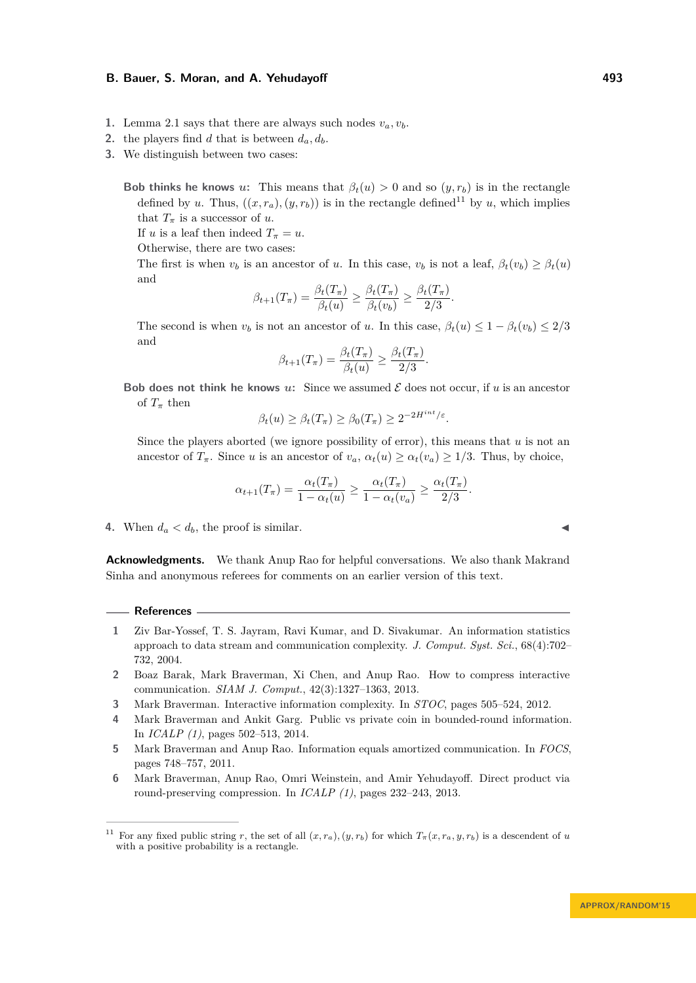- 1. Lemma [2.1](#page-8-0) says that there are always such nodes  $v_a, v_b$ .
- 2. the players find *d* that is between  $d_a, d_b$ .
- **3.** We distinguish between two cases:

**Bob thinks he knows** *u*: This means that  $\beta_t(u) > 0$  and so  $(y, r_b)$  is in the rectangle defined by *u*. Thus,  $((x, r_a), (y, r_b))$  is in the rectangle defined<sup>[11](#page-12-6)</sup> by *u*, which implies that  $T_{\pi}$  is a successor of *u*.

If *u* is a leaf then indeed  $T_{\pi} = u$ .

Otherwise, there are two cases:

The first is when  $v_b$  is an ancestor of *u*. In this case,  $v_b$  is not a leaf,  $\beta_t(v_b) \geq \beta_t(u)$ and

$$
\beta_{t+1}(T_{\pi}) = \frac{\beta_t(T_{\pi})}{\beta_t(u)} \geq \frac{\beta_t(T_{\pi})}{\beta_t(v_b)} \geq \frac{\beta_t(T_{\pi})}{2/3}.
$$

The second is when  $v_b$  is not an ancestor of *u*. In this case,  $\beta_t(u) \leq 1 - \beta_t(v_b) \leq 2/3$ and

$$
\beta_{t+1}(T_{\pi}) = \frac{\beta_t(T_{\pi})}{\beta_t(u)} \ge \frac{\beta_t(T_{\pi})}{2/3}
$$

*.*

**Bob does not think he knows**  $u$ : Since we assumed  $\mathcal{E}$  does not occur, if  $u$  is an ancestor of  $T_{\pi}$  then

$$
\beta_t(u) \ge \beta_t(T_\pi) \ge \beta_0(T_\pi) \ge 2^{-2H^{int}/\varepsilon}.
$$

Since the players aborted (we ignore possibility of error), this means that *u* is not an ancestor of  $T_{\pi}$ . Since *u* is an ancestor of  $v_a$ ,  $\alpha_t(u) \geq \alpha_t(v_a) \geq 1/3$ . Thus, by choice,

$$
\alpha_{t+1}(T_{\pi}) = \frac{\alpha_t(T_{\pi})}{1 - \alpha_t(u)} \ge \frac{\alpha_t(T_{\pi})}{1 - \alpha_t(v_u)} \ge \frac{\alpha_t(T_{\pi})}{2/3}.
$$

**4.** When  $d_a < d_b$ , the proof is similar.

**Acknowledgments.** We thank Anup Rao for helpful conversations. We also thank Makrand Sinha and anonymous referees for comments on an earlier version of this text.

#### **References**

- <span id="page-12-3"></span>**1** Ziv Bar-Yossef, T. S. Jayram, Ravi Kumar, and D. Sivakumar. An information statistics approach to data stream and communication complexity. *J. Comput. Syst. Sci.*, 68(4):702– 732, 2004.
- <span id="page-12-2"></span>**2** Boaz Barak, Mark Braverman, Xi Chen, and Anup Rao. How to compress interactive communication. *SIAM J. Comput.*, 42(3):1327–1363, 2013.
- <span id="page-12-4"></span>**3** Mark Braverman. Interactive information complexity. In *STOC*, pages 505–524, 2012.
- <span id="page-12-5"></span>**4** Mark Braverman and Ankit Garg. Public vs private coin in bounded-round information. In *ICALP (1)*, pages 502–513, 2014.
- <span id="page-12-0"></span>**5** Mark Braverman and Anup Rao. Information equals amortized communication. In *FOCS*, pages 748–757, 2011.
- <span id="page-12-1"></span>**6** Mark Braverman, Anup Rao, Omri Weinstein, and Amir Yehudayoff. Direct product via round-preserving compression. In *ICALP (1)*, pages 232–243, 2013.

<span id="page-12-6"></span><sup>&</sup>lt;sup>11</sup> For any fixed public string *r*, the set of all  $(x, r_a)$ ,  $(y, r_b)$  for which  $T_\pi(x, r_a, y, r_b)$  is a descendent of *u* with a positive probability is a rectangle.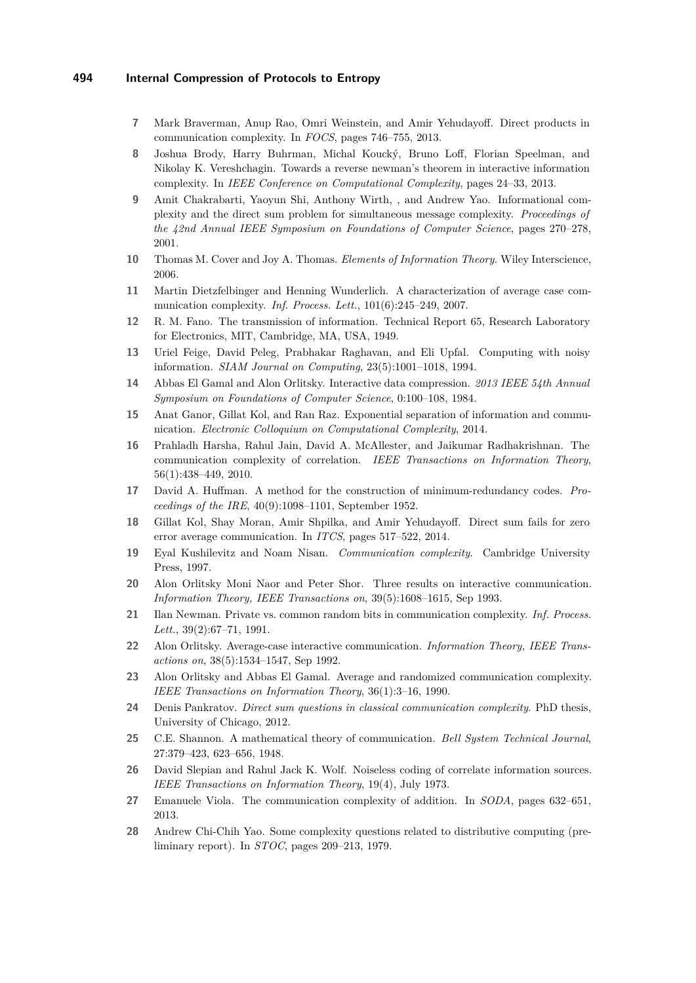- <span id="page-13-5"></span>**7** Mark Braverman, Anup Rao, Omri Weinstein, and Amir Yehudayoff. Direct products in communication complexity. In *FOCS*, pages 746–755, 2013.
- <span id="page-13-10"></span>**8** Joshua Brody, Harry Buhrman, Michal Koucký, Bruno Loff, Florian Speelman, and Nikolay K. Vereshchagin. Towards a reverse newman's theorem in interactive information complexity. In *IEEE Conference on Computational Complexity*, pages 24–33, 2013.
- <span id="page-13-7"></span>**9** Amit Chakrabarti, Yaoyun Shi, Anthony Wirth, , and Andrew Yao. Informational complexity and the direct sum problem for simultaneous message complexity. *Proceedings of the 42nd Annual IEEE Symposium on Foundations of Computer Science*, pages 270–278, 2001.
- <span id="page-13-20"></span>**10** Thomas M. Cover and Joy A. Thomas. *Elements of Information Theory*. Wiley Interscience, 2006.
- <span id="page-13-12"></span>**11** Martin Dietzfelbinger and Henning Wunderlich. A characterization of average case communication complexity. *Inf. Process. Lett.*, 101(6):245–249, 2007.
- <span id="page-13-0"></span>**12** R. M. Fano. The transmission of information. Technical Report 65, Research Laboratory for Electronics, MIT, Cambridge, MA, USA, 1949.
- <span id="page-13-16"></span>**13** Uriel Feige, David Peleg, Prabhakar Raghavan, and Eli Upfal. Computing with noisy information. *SIAM Journal on Computing*, 23(5):1001–1018, 1994.
- <span id="page-13-13"></span>**14** Abbas El Gamal and Alon Orlitsky. Interactive data compression. *2013 IEEE 54th Annual Symposium on Foundations of Computer Science*, 0:100–108, 1984.
- <span id="page-13-19"></span>**15** Anat Ganor, Gillat Kol, and Ran Raz. Exponential separation of information and communication. *Electronic Colloquium on Computational Complexity*, 2014.
- <span id="page-13-4"></span>**16** Prahladh Harsha, Rahul Jain, David A. McAllester, and Jaikumar Radhakrishnan. The communication complexity of correlation. *IEEE Transactions on Information Theory*, 56(1):438–449, 2010.
- <span id="page-13-1"></span>**17** David A. Huffman. A method for the construction of minimum-redundancy codes. *Proceedings of the IRE*, 40(9):1098–1101, September 1952.
- <span id="page-13-8"></span>**18** Gillat Kol, Shay Moran, Amir Shpilka, and Amir Yehudayoff. Direct sum fails for zero error average communication. In *ITCS*, pages 517–522, 2014.
- <span id="page-13-21"></span>**19** Eyal Kushilevitz and Noam Nisan. *Communication complexity*. Cambridge University Press, 1997.
- <span id="page-13-15"></span>**20** Alon Orlitsky Moni Naor and Peter Shor. Three results on interactive communication. *Information Theory, IEEE Transactions on*, 39(5):1608–1615, Sep 1993.
- <span id="page-13-18"></span>**21** Ilan Newman. Private vs. common random bits in communication complexity. *Inf. Process. Lett.*, 39(2):67–71, 1991.
- <span id="page-13-14"></span>**22** Alon Orlitsky. Average-case interactive communication. *Information Theory, IEEE Transactions on*, 38(5):1534–1547, Sep 1992.
- <span id="page-13-9"></span>**23** Alon Orlitsky and Abbas El Gamal. Average and randomized communication complexity. *IEEE Transactions on Information Theory*, 36(1):3–16, 1990.
- <span id="page-13-11"></span>**24** Denis Pankratov. *Direct sum questions in classical communication complexity*. PhD thesis, University of Chicago, 2012.
- <span id="page-13-6"></span>**25** C.E. Shannon. A mathematical theory of communication. *Bell System Technical Journal*, 27:379–423, 623–656, 1948.
- <span id="page-13-3"></span>**26** David Slepian and Rahul Jack K. Wolf. Noiseless coding of correlate information sources. *IEEE Transactions on Information Theory*, 19(4), July 1973.
- <span id="page-13-17"></span>**27** Emanuele Viola. The communication complexity of addition. In *SODA*, pages 632–651, 2013.
- <span id="page-13-2"></span>**28** Andrew Chi-Chih Yao. Some complexity questions related to distributive computing (preliminary report). In *STOC*, pages 209–213, 1979.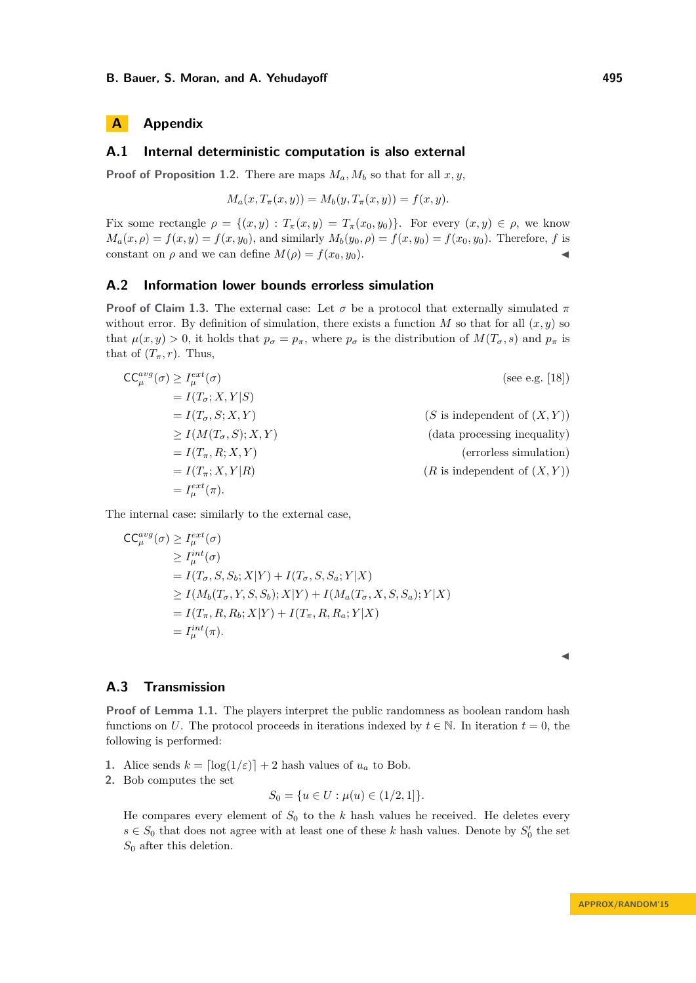# **A Appendix**

# <span id="page-14-1"></span>**A.1 Internal deterministic computation is also external**

**Proof of Proposition [1.2.](#page-2-0)** There are maps  $M_a$ ,  $M_b$  so that for all  $x, y$ ,

$$
M_a(x, T_{\pi}(x, y)) = M_b(y, T_{\pi}(x, y)) = f(x, y).
$$

Fix some rectangle  $\rho = \{(x, y) : T_\pi(x, y) = T_\pi(x_0, y_0)\}.$  For every  $(x, y) \in \rho$ , we know  $M_a(x, \rho) = f(x, y) = f(x, y_0)$ , and similarly  $M_b(y_0, \rho) = f(x, y_0) = f(x_0, y_0)$ . Therefore, *f* is constant on  $\rho$  and we can define  $M(\rho) = f(x_0, y_0)$ .

#### <span id="page-14-2"></span>**A.2 Information lower bounds errorless simulation**

**Proof of Claim [1.3.](#page-2-1)** The external case: Let  $\sigma$  be a protocol that externally simulated  $\pi$ without error. By definition of simulation, there exists a function  $M$  so that for all  $(x, y)$  so that  $\mu(x, y) > 0$ , it holds that  $p_{\sigma} = p_{\pi}$ , where  $p_{\sigma}$  is the distribution of  $M(T_{\sigma}, s)$  and  $p_{\pi}$  is that of  $(T_\pi, r)$ . Thus,

$$
CC_{\mu}^{avg}(\sigma) \ge I_{\mu}^{ext}(\sigma)
$$
\n
$$
= I(T_{\sigma}; X, Y|S)
$$
\n
$$
= I(T_{\sigma}, S; X, Y)
$$
\n
$$
\ge I(M(T_{\sigma}, S); X, Y)
$$
\n
$$
= I(T_{\pi}, R; X, Y)
$$
\n
$$
= I(T_{\pi}; X, Y|R)
$$
\n
$$
= I(T_{\pi}; X, Y|R)
$$
\n
$$
= I_{\mu}^{ext}(\pi).
$$
\n(R is independent of (X, Y))

The internal case: similarly to the external case,

$$
CC_{\mu}^{avg}(\sigma) \ge I_{\mu}^{ext}(\sigma)
$$
  
\n
$$
\ge I_{\mu}^{int}(\sigma)
$$
  
\n
$$
= I(T_{\sigma}, S, S_{b}; X|Y) + I(T_{\sigma}, S, S_{a}; Y|X)
$$
  
\n
$$
\ge I(M_b(T_{\sigma}, Y, S, S_b); X|Y) + I(M_a(T_{\sigma}, X, S, S_a); Y|X)
$$
  
\n
$$
= I(T_{\pi}, R, R_b; X|Y) + I(T_{\pi}, R, R_a; Y|X)
$$
  
\n
$$
= I_{\mu}^{int}(\pi).
$$

# <span id="page-14-0"></span>**A.3 Transmission**

**Proof of Lemma [1.1.](#page-1-0)** The players interpret the public randomness as boolean random hash functions on *U*. The protocol proceeds in iterations indexed by  $t \in \mathbb{N}$ . In iteration  $t = 0$ , the following is performed:

**1.** Alice sends  $k = \lfloor \log(1/\varepsilon) \rfloor + 2$  hash values of  $u_a$  to Bob.

**2.** Bob computes the set

$$
S_0 = \{ u \in U : \mu(u) \in (1/2, 1] \}.
$$

He compares every element of  $S_0$  to the  $k$  hash values he received. He deletes every  $s \in S_0$  that does not agree with at least one of these *k* hash values. Denote by  $S'_0$  the set *S*<sup>0</sup> after this deletion.

J